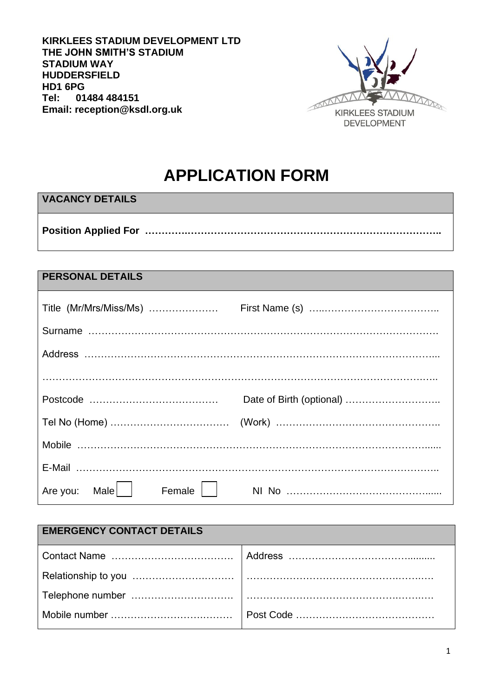**KIRKLEES STADIUM DEVELOPMENT LTD THE JOHN SMITH'S STADIUM STADIUM WAY HUDDERSFIELD HD1 6PG Tel: 01484 484151 Email: reception@ksdl.org.uk**



# **APPLICATION FORM**

# **VACANCY DETAILS**

**Position Applied For ………….…………………………………………………………………..**

## **PERSONAL DETAILS**

| Title (Mr/Mrs/Miss/Ms)      |  |
|-----------------------------|--|
|                             |  |
|                             |  |
|                             |  |
|                             |  |
|                             |  |
|                             |  |
|                             |  |
| Are you: Male    <br>Female |  |

| <b>EMERGENCY CONTACT DETAILS</b> |  |
|----------------------------------|--|
|                                  |  |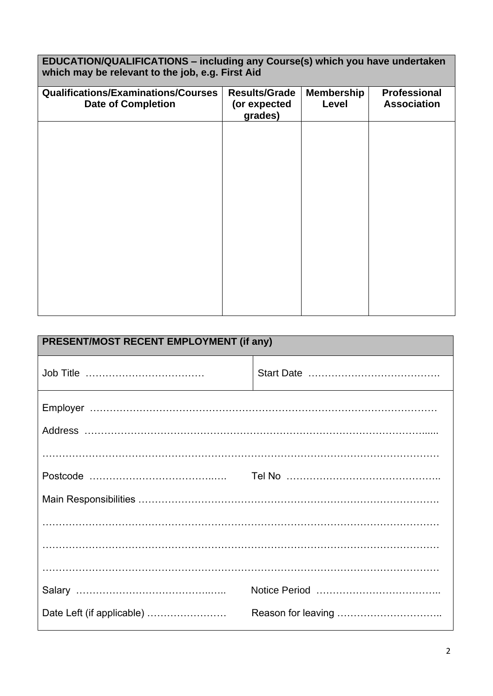**EDUCATION/QUALIFICATIONS – including any Course(s) which you have undertaken which may be relevant to the job, e.g. First Aid**

| <b>Qualifications/Examinations/Courses</b><br><b>Date of Completion</b> | <b>Results/Grade</b><br>(or expected | <b>Membership</b><br>Level | <b>Professional</b><br><b>Association</b> |
|-------------------------------------------------------------------------|--------------------------------------|----------------------------|-------------------------------------------|
|                                                                         | grades)                              |                            |                                           |
|                                                                         |                                      |                            |                                           |
|                                                                         |                                      |                            |                                           |
|                                                                         |                                      |                            |                                           |
|                                                                         |                                      |                            |                                           |
|                                                                         |                                      |                            |                                           |
|                                                                         |                                      |                            |                                           |
|                                                                         |                                      |                            |                                           |
|                                                                         |                                      |                            |                                           |
|                                                                         |                                      |                            |                                           |
|                                                                         |                                      |                            |                                           |
|                                                                         |                                      |                            |                                           |
|                                                                         |                                      |                            |                                           |
|                                                                         |                                      |                            |                                           |
|                                                                         |                                      |                            |                                           |
|                                                                         |                                      |                            |                                           |
|                                                                         |                                      |                            |                                           |
|                                                                         |                                      |                            |                                           |
|                                                                         |                                      |                            |                                           |
|                                                                         |                                      |                            |                                           |
|                                                                         |                                      |                            |                                           |
|                                                                         |                                      |                            |                                           |
|                                                                         |                                      |                            |                                           |
|                                                                         |                                      |                            |                                           |
|                                                                         |                                      |                            |                                           |

| PRESENT/MOST RECENT EMPLOYMENT (if any) |  |
|-----------------------------------------|--|
|                                         |  |
|                                         |  |
|                                         |  |
|                                         |  |
|                                         |  |
|                                         |  |
|                                         |  |
|                                         |  |
|                                         |  |
| Date Left (if applicable)               |  |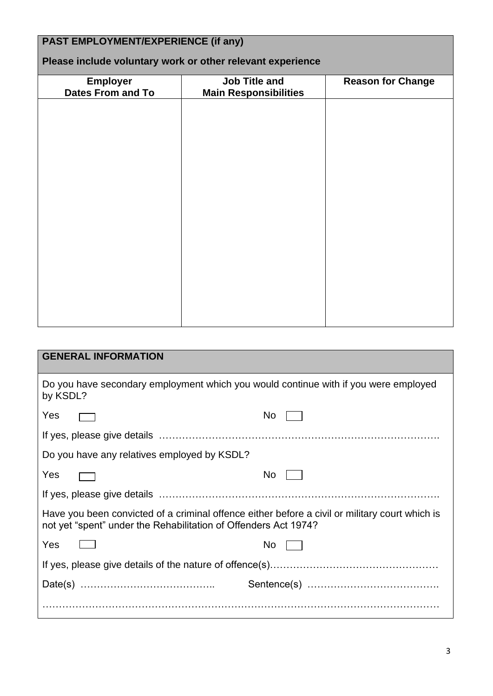| <b>PAST EMPLOYMENT/EXPERIENCE (if any)</b><br>Please include voluntary work or other relevant experience |                              |                          |
|----------------------------------------------------------------------------------------------------------|------------------------------|--------------------------|
| <b>Employer</b>                                                                                          | <b>Job Title and</b>         | <b>Reason for Change</b> |
| <b>Dates From and To</b>                                                                                 | <b>Main Responsibilities</b> |                          |
|                                                                                                          |                              |                          |
|                                                                                                          |                              |                          |
|                                                                                                          |                              |                          |
|                                                                                                          |                              |                          |
|                                                                                                          |                              |                          |
|                                                                                                          |                              |                          |
|                                                                                                          |                              |                          |
|                                                                                                          |                              |                          |
|                                                                                                          |                              |                          |
|                                                                                                          |                              |                          |
|                                                                                                          |                              |                          |
|                                                                                                          |                              |                          |
|                                                                                                          |                              |                          |
|                                                                                                          |                              |                          |
|                                                                                                          |                              |                          |

| <b>GENERAL INFORMATION</b>                                                                                                                                        |      |
|-------------------------------------------------------------------------------------------------------------------------------------------------------------------|------|
| Do you have secondary employment which you would continue with if you were employed<br>by KSDL?                                                                   |      |
| Yes                                                                                                                                                               | No l |
|                                                                                                                                                                   |      |
| Do you have any relatives employed by KSDL?                                                                                                                       |      |
| Yes                                                                                                                                                               | No l |
|                                                                                                                                                                   |      |
| Have you been convicted of a criminal offence either before a civil or military court which is<br>not yet "spent" under the Rehabilitation of Offenders Act 1974? |      |
| Yes                                                                                                                                                               | No l |
|                                                                                                                                                                   |      |
|                                                                                                                                                                   |      |
|                                                                                                                                                                   |      |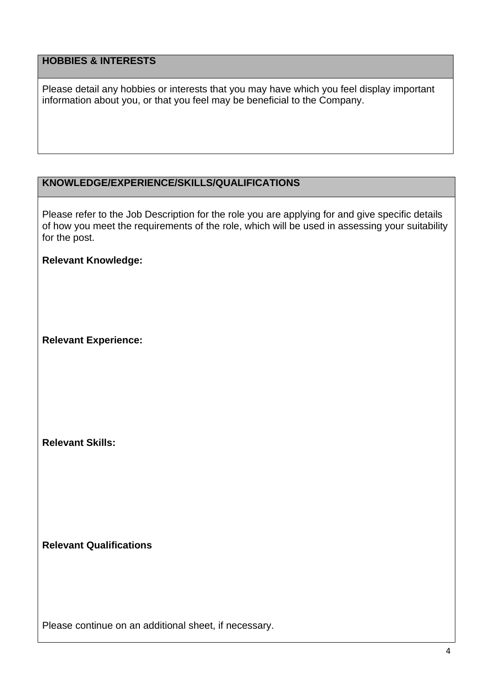# **HOBBIES & INTERESTS**

Please detail any hobbies or interests that you may have which you feel display important information about you, or that you feel may be beneficial to the Company.

## **KNOWLEDGE/EXPERIENCE/SKILLS/QUALIFICATIONS**

Please refer to the Job Description for the role you are applying for and give specific details of how you meet the requirements of the role, which will be used in assessing your suitability for the post.

#### **Relevant Knowledge:**

**Relevant Experience:**

**Relevant Skills:**

**Relevant Qualifications**

Please continue on an additional sheet, if necessary.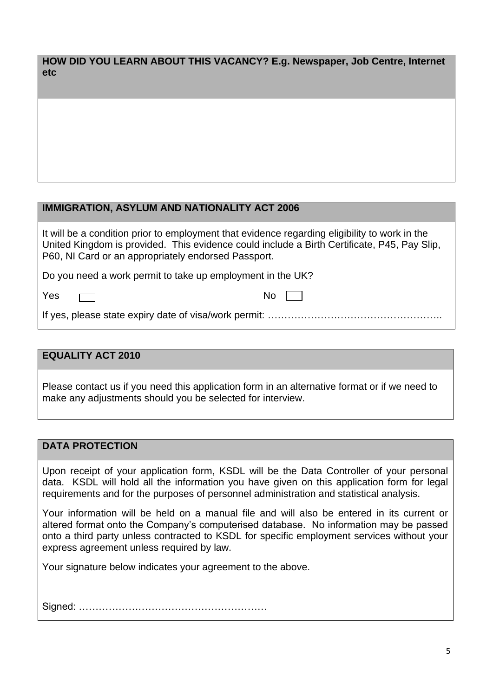| HOW DID YOU LEARN ABOUT THIS VACANCY? E.g. Newspaper, Job Centre, Internet |  |
|----------------------------------------------------------------------------|--|
| <b>etc</b>                                                                 |  |

#### **IMMIGRATION, ASYLUM AND NATIONALITY ACT 2006**

It will be a condition prior to employment that evidence regarding eligibility to work in the United Kingdom is provided. This evidence could include a Birth Certificate, P45, Pay Slip, P60, NI Card or an appropriately endorsed Passport.

Do you need a work permit to take up employment in the UK?

Yes ┌─┐ No

If yes, please state expiry date of visa/work permit: ……………………………………………..

#### **EQUALITY ACT 2010**

Please contact us if you need this application form in an alternative format or if we need to make any adjustments should you be selected for interview.

#### **DATA PROTECTION**

Upon receipt of your application form, KSDL will be the Data Controller of your personal data. KSDL will hold all the information you have given on this application form for legal requirements and for the purposes of personnel administration and statistical analysis.

Your information will be held on a manual file and will also be entered in its current or altered format onto the Company's computerised database. No information may be passed onto a third party unless contracted to KSDL for specific employment services without your express agreement unless required by law.

Your signature below indicates your agreement to the above.

Signed: …………………………………………………